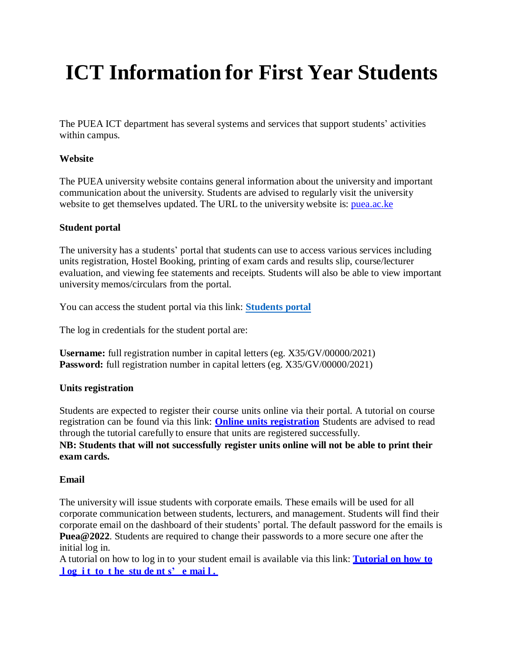# **ICT Information for First Year Students**

The PUEA ICT department has several systems and services that support students' activities within campus.

## **Website**

The PUEA university website contains general information about the university and important communication about the university. Students are advised to regularly visit the university website to get themselves updated. The URL to the university website is: [puea.ac.ke](https://puea.ac.ke/)

# **Student portal**

The university has a students' portal that students can use to access various services including units registration, Hostel Booking, printing of exam cards and results slip, course/lecturer evaluation, and viewing fee statements and receipts. Students will also be able to view important university memos/circulars from the portal.

You can access the student portal via this link: **[Students](http://students.puea.ac.ke:1880/login/Login) portal**

The log in credentials for the student portal are:

**Username:** full registration number in capital letters (eg. X35/GV/00000/2021) **Password:** full registration number in capital letters (eg. X35/GV/00000/2021)

## **Units registration**

Students are expected to register their course units online via their portal. A tutorial on course registration can be found via this link: **Online units [registration](http://puea.ac.ke/wp-content/uploads/2021/09/HOW-TO-REGISTER-UNITS-ONLINE-1.pdf)** Students are advised to read through the tutorial carefully to ensure that units are registered successfully. **NB: Students that will not successfully register units online will not be able to print their exam cards.**

## **Email**

The university will issue students with corporate emails. These emails will be used for all corporate communication between students, lecturers, and management. Students will find their corporate email on the dashboard of their students' portal. The default password for the emails is **[Puea@2022](mailto:Puea@2021)**. Students are required to change their passwords to a more secure one after the initial log in.

A tutorial on how to log in to your student email is available via this link: **[Tutorial](http://puea.ac.ke/wp-content/uploads/2021/09/Tutorial-on-How-to-Log-in-to-the-Student-E-mail.pdf) on how to l og i t to t he stu de nt [s' e](http://puea.ac.ke/wp-content/uploads/2021/09/Tutorial-on-How-to-Log-in-to-the-Student-E-mail.pdf) mai l .**